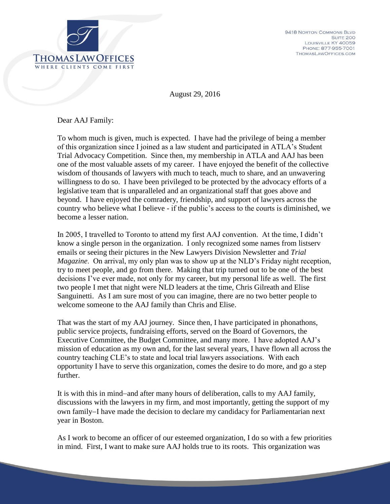

August 29, 2016

Dear AAJ Family:

To whom much is given, much is expected. I have had the privilege of being a member of this organization since I joined as a law student and participated in ATLA's Student Trial Advocacy Competition. Since then, my membership in ATLA and AAJ has been one of the most valuable assets of my career. I have enjoyed the benefit of the collective wisdom of thousands of lawyers with much to teach, much to share, and an unwavering willingness to do so. I have been privileged to be protected by the advocacy efforts of a legislative team that is unparalleled and an organizational staff that goes above and beyond. I have enjoyed the comradery, friendship, and support of lawyers across the country who believe what I believe - if the public's access to the courts is diminished, we become a lesser nation.

In 2005, I travelled to Toronto to attend my first AAJ convention. At the time, I didn't know a single person in the organization. I only recognized some names from listserv emails or seeing their pictures in the New Lawyers Division Newsletter and *Trial Magazine*. On arrival, my only plan was to show up at the NLD's Friday night reception, try to meet people, and go from there. Making that trip turned out to be one of the best decisions I've ever made, not only for my career, but my personal life as well. The first two people I met that night were NLD leaders at the time, Chris Gilreath and Elise Sanguinetti. As I am sure most of you can imagine, there are no two better people to welcome someone to the AAJ family than Chris and Elise.

That was the start of my AAJ journey. Since then, I have participated in phonathons, public service projects, fundraising efforts, served on the Board of Governors, the Executive Committee, the Budget Committee, and many more. I have adopted AAJ's mission of education as my own and, for the last several years, I have flown all across the country teaching CLE's to state and local trial lawyers associations. With each opportunity I have to serve this organization, comes the desire to do more, and go a step further.

It is with this in mind-and after many hours of deliberation, calls to my AAJ family, discussions with the lawyers in my firm, and most importantly, getting the support of my own family–I have made the decision to declare my candidacy for Parliamentarian next year in Boston.

As I work to become an officer of our esteemed organization, I do so with a few priorities in mind. First, I want to make sure AAJ holds true to its roots. This organization was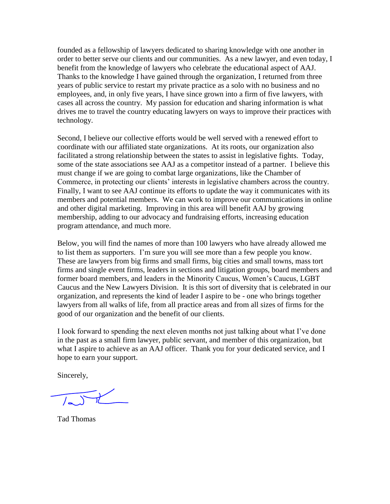founded as a fellowship of lawyers dedicated to sharing knowledge with one another in order to better serve our clients and our communities. As a new lawyer, and even today, I benefit from the knowledge of lawyers who celebrate the educational aspect of AAJ. Thanks to the knowledge I have gained through the organization, I returned from three years of public service to restart my private practice as a solo with no business and no employees, and, in only five years, I have since grown into a firm of five lawyers, with cases all across the country. My passion for education and sharing information is what drives me to travel the country educating lawyers on ways to improve their practices with technology.

Second, I believe our collective efforts would be well served with a renewed effort to coordinate with our affiliated state organizations. At its roots, our organization also facilitated a strong relationship between the states to assist in legislative fights. Today, some of the state associations see AAJ as a competitor instead of a partner. I believe this must change if we are going to combat large organizations, like the Chamber of Commerce, in protecting our clients' interests in legislative chambers across the country. Finally, I want to see AAJ continue its efforts to update the way it communicates with its members and potential members. We can work to improve our communications in online and other digital marketing. Improving in this area will benefit AAJ by growing membership, adding to our advocacy and fundraising efforts, increasing education program attendance, and much more.

Below, you will find the names of more than 100 lawyers who have already allowed me to list them as supporters. I'm sure you will see more than a few people you know. These are lawyers from big firms and small firms, big cities and small towns, mass tort firms and single event firms, leaders in sections and litigation groups, board members and former board members, and leaders in the Minority Caucus, Women's Caucus, LGBT Caucus and the New Lawyers Division. It is this sort of diversity that is celebrated in our organization, and represents the kind of leader I aspire to be - one who brings together lawyers from all walks of life, from all practice areas and from all sizes of firms for the good of our organization and the benefit of our clients.

I look forward to spending the next eleven months not just talking about what I've done in the past as a small firm lawyer, public servant, and member of this organization, but what I aspire to achieve as an AAJ officer. Thank you for your dedicated service, and I hope to earn your support.

Sincerely,

Tad Thomas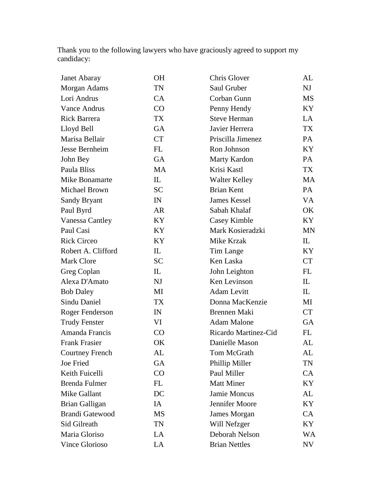Thank you to the following lawyers who have graciously agreed to support my candidacy:

| Janet Abaray           | <b>OH</b> | Chris Glover         | AL        |
|------------------------|-----------|----------------------|-----------|
| Morgan Adams           | TN        | Saul Gruber          | NJ        |
| Lori Andrus            | CA        | Corban Gunn          | <b>MS</b> |
| <b>Vance Andrus</b>    | CO        | Penny Hendy          | KY.       |
| Rick Barrera           | <b>TX</b> | <b>Steve Herman</b>  | LA        |
| Lloyd Bell             | <b>GA</b> | Javier Herrera       | <b>TX</b> |
| Marisa Bellair         | <b>CT</b> | Priscilla Jimenez    | PA        |
| Jesse Bernheim         | FL        | Ron Johnson          | KY        |
| John Bey               | GA        | Marty Kardon         | PA        |
| Paula Bliss            | <b>MA</b> | Krisi Kastl          | TX        |
| Mike Bonamarte         | IL        | <b>Walter Kelley</b> | MA        |
| Michael Brown          | <b>SC</b> | <b>Brian Kent</b>    | PA        |
| Sandy Bryant           | IN        | James Kessel         | VA.       |
| Paul Byrd              | <b>AR</b> | Sabah Khalaf         | OK        |
| Vanessa Cantley        | KY        | Casey Kimble         | KY        |
| Paul Casi              | KY        | Mark Kosieradzki     | <b>MN</b> |
| <b>Rick Circeo</b>     | KY        | Mike Krzak           | IL        |
| Robert A. Clifford     | IL        | Tim Lange            | KY        |
| <b>Mark Clore</b>      | <b>SC</b> | Ken Laska            | <b>CT</b> |
| Greg Coplan            | IL        | John Leighton        | FL        |
| Alexa D'Amato          | NJ        | Ken Levinson         | IL        |
| <b>Bob Daley</b>       | MI        | <b>Adam Levitt</b>   | IL        |
| <b>Sindu Daniel</b>    | <b>TX</b> | Donna MacKenzie      | MI        |
| Roger Fenderson        | IN        | <b>Brennen Maki</b>  | <b>CT</b> |
| <b>Trudy Fenster</b>   | VI        | <b>Adam Malone</b>   | GA        |
| Amanda Francis         | CO        | Ricardo Martinez-Cid | FL        |
| <b>Frank Frasier</b>   | OK        | Danielle Mason       | AL        |
| <b>Courtney French</b> | AL        | Tom McGrath          | AL        |
| Joe Fried              | GA        | Phillip Miller       | TN        |
| Keith Fuicelli         | CO        | Paul Miller          | CA        |
| <b>Brenda Fulmer</b>   | FL        | <b>Matt Miner</b>    | KY        |
| Mike Gallant           | DC        | Jamie Moncus         | AL        |
| <b>Brian Galligan</b>  | IA        | Jennifer Moore       | KY        |
| <b>Brandi Gatewood</b> | MS        | James Morgan         | <b>CA</b> |
| Sid Gilreath           | TN        | Will Nefzger         | KY        |
| Maria Gloriso          | LA        | Deborah Nelson       | <b>WA</b> |
| Vince Glorioso         | LA        | <b>Brian Nettles</b> | NV        |